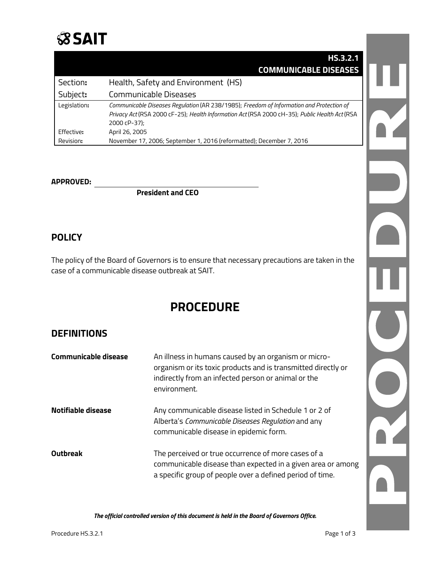## **SSAIT**

|              | <b>HS.3.2.1</b>                                                                                                                                                                                           |
|--------------|-----------------------------------------------------------------------------------------------------------------------------------------------------------------------------------------------------------|
|              | <b>COMMUNICABLE DISEASES</b>                                                                                                                                                                              |
| Section:     | Health, Safety and Environment (HS)                                                                                                                                                                       |
| Subject:     | Communicable Diseases                                                                                                                                                                                     |
| Legislation: | Communicable Diseases Regulation (AR 238/1985); Freedom of Information and Protection of<br>Privacy Act (RSA 2000 cF-25); Health Information Act (RSA 2000 cH-35); Public Health Act (RSA<br>2000 cP-37); |
| Effective:   | April 26, 2005                                                                                                                                                                                            |
| Revision:    | November 17, 2006; September 1, 2016 (reformatted); December 7, 2016                                                                                                                                      |

#### **APPROVED:**

**President and CEO**

#### **POLICY**

The policy of the Board of Governors is to ensure that necessary precautions are taken in the case of a communicable disease outbreak at SAIT.

### **PROCEDURE**

#### **DEFINITIONS**

| <b>Communicable disease</b> | An illness in humans caused by an organism or micro-<br>organism or its toxic products and is transmitted directly or<br>indirectly from an infected person or animal or the<br>environment. |
|-----------------------------|----------------------------------------------------------------------------------------------------------------------------------------------------------------------------------------------|
| Notifiable disease          | Any communicable disease listed in Schedule 1 or 2 of<br>Alberta's Communicable Diseases Regulation and any<br>communicable disease in epidemic form.                                        |
| <b>Outbreak</b>             | The perceived or true occurrence of more cases of a<br>communicable disease than expected in a given area or among<br>a specific group of people over a defined period of time.              |

*The official controlled version of this document is held in the Board of Governors Office.*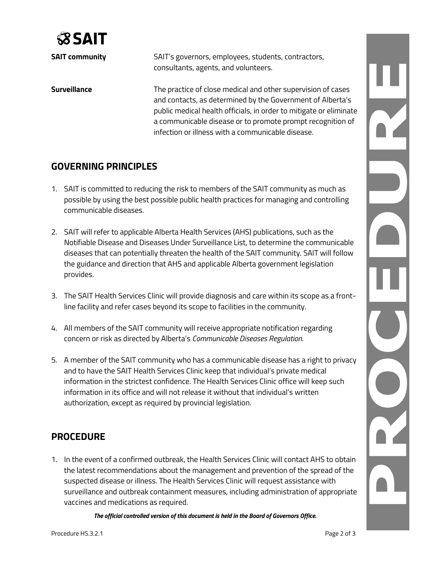

**SAIT community** SAIT's governors, employees, students, contractors, consultants, agents, and volunteers. **Surveillance** The practice of close medical and other supervision of cases and contacts, as determined by the Government of Alberta's public medical health officials, in order to mitigate or eliminate a communicable disease or to promote prompt recognition of infection or illness with a communicable disease.

#### **GOVERNING PRINCIPLES**

- 1. SAIT is committed to reducing the risk to members of the SAIT community as much as possible by using the best possible public health practices for managing and controlling communicable diseases.
- 2. SAIT will refer to applicable Alberta Health Services (AHS) publications, such as the Notifiable Disease and Diseases Under Surveillance List, to determine the communicable diseases that can potentially threaten the health of the SAIT community. SAIT will follow the guidance and direction that AHS and applicable Alberta government legislation provides.
- 3. The SAIT Health Services Clinic will provide diagnosis and care within its scope as a frontline facility and refer cases beyond its scope to facilities in the community.
- 4. All members of the SAIT community will receive appropriate notification regarding concern or risk as directed by Alberta's *Communicable Diseases Regulation*.
- 5. A member of the SAIT community who has a communicable disease has a right to privacy and to have the SAIT Health Services Clinic keep that individual's private medical information in the strictest confidence. The Health Services Clinic office will keep such information in its office and will not release it without that individual's written authorization, except as required by provincial legislation.

#### **PROCEDURE**

1. In the event of a confirmed outbreak, the Health Services Clinic will contact AHS to obtain the latest recommendations about the management and prevention of the spread of the suspected disease or illness. The Health Services Clinic will request assistance with surveillance and outbreak containment measures, including administration of appropriate vaccines and medications as required.

*The official controlled version of this document is held in the Board of Governors Office.*